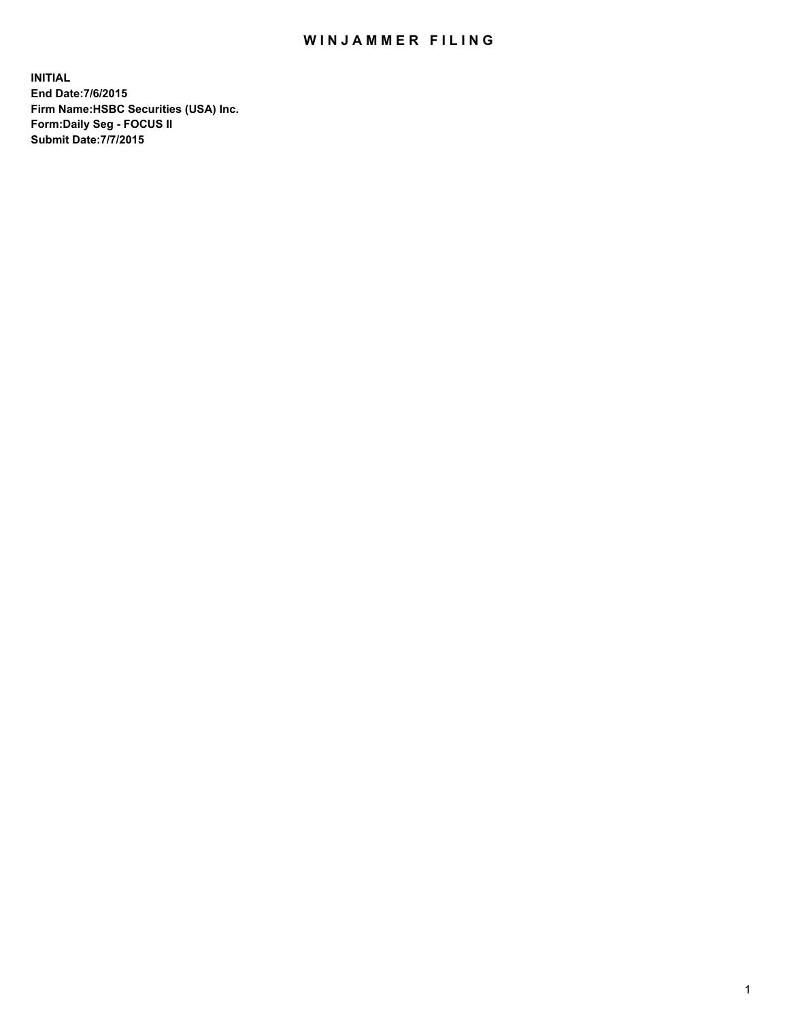## WIN JAMMER FILING

**INITIAL End Date:7/6/2015 Firm Name:HSBC Securities (USA) Inc. Form:Daily Seg - FOCUS II Submit Date:7/7/2015**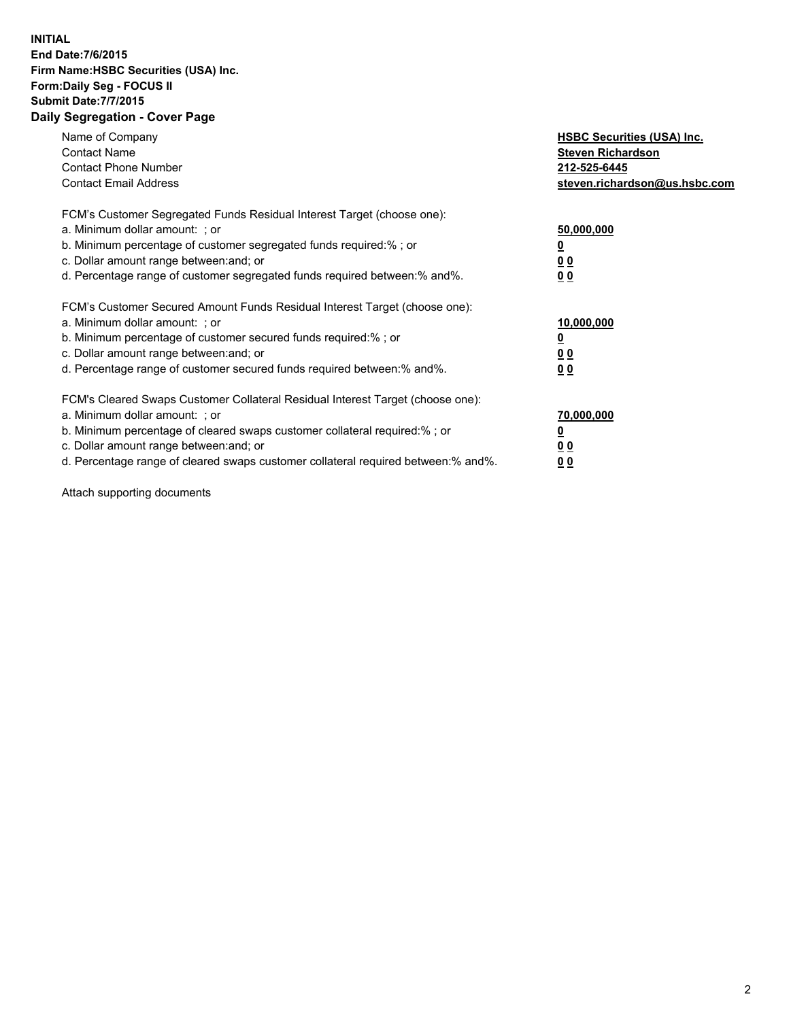## **INITIAL End Date:7/6/2015 Firm Name:HSBC Securities (USA) Inc. Form:Daily Seg - FOCUS II Submit Date:7/7/2015 Daily Segregation - Cover Page**

| Name of Company<br><b>Contact Name</b><br><b>Contact Phone Number</b><br><b>Contact Email Address</b>                                                                                                                                                                                                                         | <b>HSBC Securities (USA) Inc.</b><br><b>Steven Richardson</b><br>212-525-6445<br>steven.richardson@us.hsbc.com |
|-------------------------------------------------------------------------------------------------------------------------------------------------------------------------------------------------------------------------------------------------------------------------------------------------------------------------------|----------------------------------------------------------------------------------------------------------------|
| FCM's Customer Segregated Funds Residual Interest Target (choose one):<br>a. Minimum dollar amount: ; or<br>b. Minimum percentage of customer segregated funds required:%; or<br>c. Dollar amount range between: and; or<br>d. Percentage range of customer segregated funds required between:% and%.                         | 50,000,000<br>00<br>0 <sub>0</sub>                                                                             |
| FCM's Customer Secured Amount Funds Residual Interest Target (choose one):<br>a. Minimum dollar amount: ; or<br>b. Minimum percentage of customer secured funds required:%; or<br>c. Dollar amount range between: and; or<br>d. Percentage range of customer secured funds required between:% and%.                           | 10,000,000<br>0 <sub>0</sub><br>00                                                                             |
| FCM's Cleared Swaps Customer Collateral Residual Interest Target (choose one):<br>a. Minimum dollar amount: ; or<br>b. Minimum percentage of cleared swaps customer collateral required:%; or<br>c. Dollar amount range between: and; or<br>d. Percentage range of cleared swaps customer collateral required between:% and%. | 70,000,000<br><u>00</u><br><u>00</u>                                                                           |

Attach supporting documents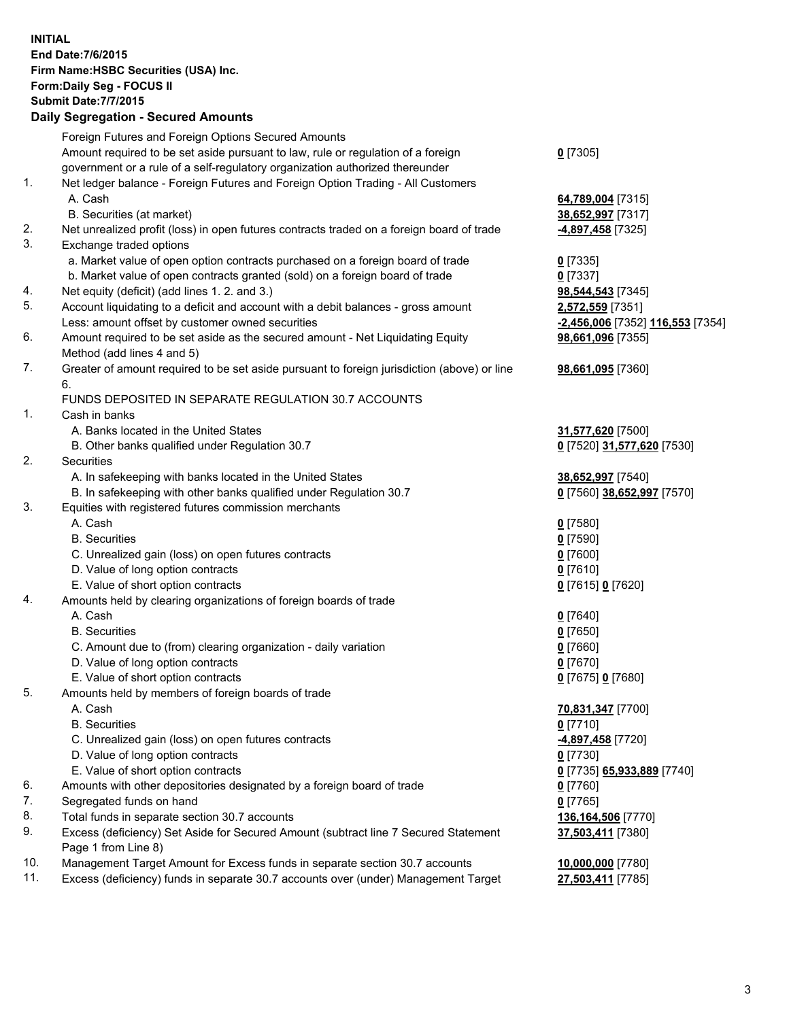**INITIAL End Date:7/6/2015 Firm Name:HSBC Securities (USA) Inc. Form:Daily Seg - FOCUS II Submit Date:7/7/2015 Daily Segregation - Secured Amounts** Foreign Futures and Foreign Options Secured Amounts Amount required to be set aside pursuant to law, rule or regulation of a foreign government or a rule of a self-regulatory organization authorized thereunder **0** [7305] 1. Net ledger balance - Foreign Futures and Foreign Option Trading - All Customers A. Cash **64,789,004** [7315] B. Securities (at market) **38,652,997** [7317] 2. Net unrealized profit (loss) in open futures contracts traded on a foreign board of trade **-4,897,458** [7325] 3. Exchange traded options a. Market value of open option contracts purchased on a foreign board of trade **0** [7335] b. Market value of open contracts granted (sold) on a foreign board of trade **0** [7337] 4. Net equity (deficit) (add lines 1. 2. and 3.) **98,544,543** [7345] 5. Account liquidating to a deficit and account with a debit balances - gross amount **2,572,559** [7351] Less: amount offset by customer owned securities **-2,456,006** [7352] **116,553** [7354] 6. Amount required to be set aside as the secured amount - Net Liquidating Equity Method (add lines 4 and 5) **98,661,096** [7355] 7. Greater of amount required to be set aside pursuant to foreign jurisdiction (above) or line 6. **98,661,095** [7360] FUNDS DEPOSITED IN SEPARATE REGULATION 30.7 ACCOUNTS 1. Cash in banks A. Banks located in the United States **31,577,620** [7500] B. Other banks qualified under Regulation 30.7 **0** [7520] **31,577,620** [7530] 2. Securities A. In safekeeping with banks located in the United States **38,652,997** [7540] B. In safekeeping with other banks qualified under Regulation 30.7 **0** [7560] **38,652,997** [7570] 3. Equities with registered futures commission merchants A. Cash **0** [7580] B. Securities **0** [7590] C. Unrealized gain (loss) on open futures contracts **0** [7600] D. Value of long option contracts **0** [7610] E. Value of short option contracts **0** [7615] **0** [7620] 4. Amounts held by clearing organizations of foreign boards of trade A. Cash **0** [7640] B. Securities **0** [7650] C. Amount due to (from) clearing organization - daily variation **0** [7660] D. Value of long option contracts **0** [7670] E. Value of short option contracts **0** [7675] **0** [7680] 5. Amounts held by members of foreign boards of trade A. Cash **70,831,347** [7700] B. Securities **0** [7710] C. Unrealized gain (loss) on open futures contracts **-4,897,458** [7720] D. Value of long option contracts **0** [7730] E. Value of short option contracts **0** [7735] **65,933,889** [7740] 6. Amounts with other depositories designated by a foreign board of trade **0** [7760] 7. Segregated funds on hand **0** [7765] 8. Total funds in separate section 30.7 accounts **136,164,506** [7770] 9. Excess (deficiency) Set Aside for Secured Amount (subtract line 7 Secured Statement Page 1 from Line 8) **37,503,411** [7380] 10. Management Target Amount for Excess funds in separate section 30.7 accounts **10,000,000** [7780] 11. Excess (deficiency) funds in separate 30.7 accounts over (under) Management Target **27,503,411** [7785]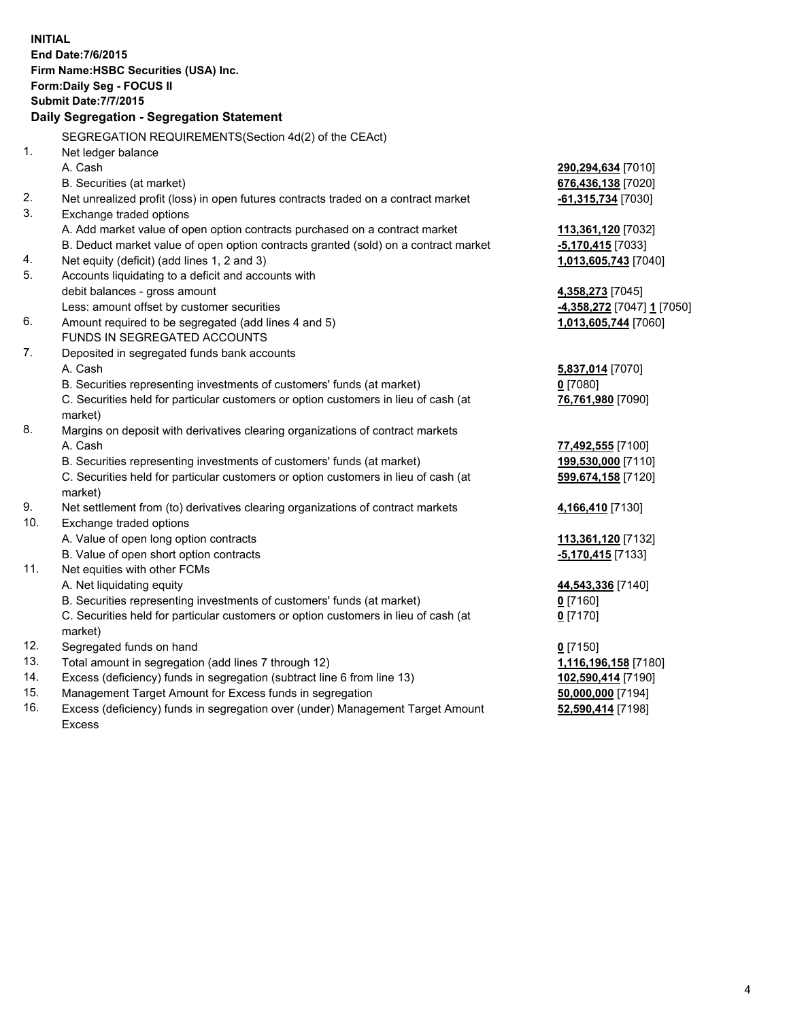| <b>INITIAL</b>               | End Date: 7/6/2015<br>Firm Name: HSBC Securities (USA) Inc.<br>Form: Daily Seg - FOCUS II      |                           |  |  |  |
|------------------------------|------------------------------------------------------------------------------------------------|---------------------------|--|--|--|
| <b>Submit Date: 7/7/2015</b> |                                                                                                |                           |  |  |  |
|                              | Daily Segregation - Segregation Statement                                                      |                           |  |  |  |
|                              | SEGREGATION REQUIREMENTS(Section 4d(2) of the CEAct)                                           |                           |  |  |  |
| 1.                           | Net ledger balance                                                                             |                           |  |  |  |
|                              | A. Cash                                                                                        | 290,294,634 [7010]        |  |  |  |
|                              | B. Securities (at market)                                                                      | 676,436,138 [7020]        |  |  |  |
| 2.                           | Net unrealized profit (loss) in open futures contracts traded on a contract market             | -61,315,734 [7030]        |  |  |  |
| 3.                           | Exchange traded options                                                                        |                           |  |  |  |
|                              | A. Add market value of open option contracts purchased on a contract market                    | 113,361,120 [7032]        |  |  |  |
|                              | B. Deduct market value of open option contracts granted (sold) on a contract market            | -5,170,415 [7033]         |  |  |  |
| 4.                           | Net equity (deficit) (add lines 1, 2 and 3)                                                    | 1,013,605,743 [7040]      |  |  |  |
| 5.                           | Accounts liquidating to a deficit and accounts with                                            |                           |  |  |  |
|                              | debit balances - gross amount                                                                  | 4,358,273 [7045]          |  |  |  |
|                              | Less: amount offset by customer securities                                                     | 4,358,272 [7047] 1 [7050] |  |  |  |
| 6.                           | Amount required to be segregated (add lines 4 and 5)                                           | 1,013,605,744 [7060]      |  |  |  |
|                              | FUNDS IN SEGREGATED ACCOUNTS                                                                   |                           |  |  |  |
| 7.                           | Deposited in segregated funds bank accounts                                                    |                           |  |  |  |
|                              | A. Cash                                                                                        | 5,837,014 [7070]          |  |  |  |
|                              | B. Securities representing investments of customers' funds (at market)                         | $0$ [7080]                |  |  |  |
|                              | C. Securities held for particular customers or option customers in lieu of cash (at<br>market) | 76,761,980 [7090]         |  |  |  |
| 8.                           | Margins on deposit with derivatives clearing organizations of contract markets                 |                           |  |  |  |
|                              | A. Cash                                                                                        | 77,492,555 [7100]         |  |  |  |
|                              | B. Securities representing investments of customers' funds (at market)                         | 199,530,000 [7110]        |  |  |  |
|                              | C. Securities held for particular customers or option customers in lieu of cash (at<br>market) | 599,674,158 [7120]        |  |  |  |
| 9.                           | Net settlement from (to) derivatives clearing organizations of contract markets                | 4,166,410 [7130]          |  |  |  |
| 10.                          | Exchange traded options                                                                        |                           |  |  |  |
|                              | A. Value of open long option contracts                                                         | 113,361,120 [7132]        |  |  |  |
|                              | B. Value of open short option contracts                                                        | -5,170,415 [7133]         |  |  |  |
| 11.                          | Net equities with other FCMs                                                                   |                           |  |  |  |
|                              | A. Net liquidating equity                                                                      | 44,543,336 [7140]         |  |  |  |
|                              | B. Securities representing investments of customers' funds (at market)                         | 0 [7160]                  |  |  |  |
|                              | C. Securities held for particular customers or option customers in lieu of cash (at            | $0$ [7170]                |  |  |  |
|                              | market)                                                                                        |                           |  |  |  |
| 12.                          | Segregated funds on hand                                                                       | $0$ [7150]                |  |  |  |
| 13.                          | Total amount in segregation (add lines 7 through 12)                                           | 1,116,196,158 [7180]      |  |  |  |
| 14.                          | Excess (deficiency) funds in segregation (subtract line 6 from line 13)                        | 102,590,414 [7190]        |  |  |  |
| 15.                          | Management Target Amount for Excess funds in segregation                                       | 50,000,000 [7194]         |  |  |  |

16. Excess (deficiency) funds in segregation over (under) Management Target Amount Excess

**52,590,414** [7198]